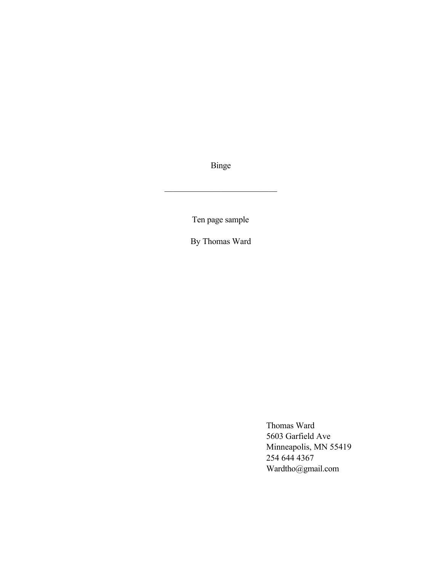Binge

 $\mathcal{L}_\text{max}$  , where  $\mathcal{L}_\text{max}$  and  $\mathcal{L}_\text{max}$ 

Ten page sample

By Thomas Ward

Thomas Ward 5603 Garfield Ave Minneapolis, MN 55419 254 644 4367 Wardtho@gmail.com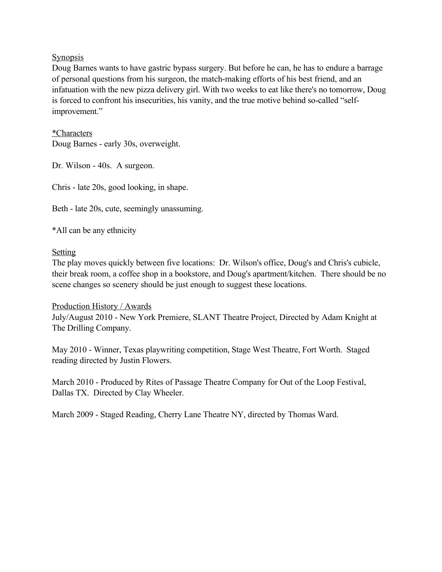# **Synopsis**

Doug Barnes wants to have gastric bypass surgery. But before he can, he has to endure a barrage of personal questions from his surgeon, the match-making efforts of his best friend, and an infatuation with the new pizza delivery girl. With two weeks to eat like there's no tomorrow, Doug is forced to confront his insecurities, his vanity, and the true motive behind so-called "selfimprovement."

\*Characters Doug Barnes - early 30s, overweight.

Dr. Wilson - 40s. A surgeon.

Chris - late 20s, good looking, in shape.

Beth - late 20s, cute, seemingly unassuming.

\*All can be any ethnicity

# Setting

The play moves quickly between five locations: Dr. Wilson's office, Doug's and Chris's cubicle, their break room, a coffee shop in a bookstore, and Doug's apartment/kitchen. There should be no scene changes so scenery should be just enough to suggest these locations.

# Production History / Awards

July/August 2010 - New York Premiere, SLANT Theatre Project, Directed by Adam Knight at The Drilling Company.

May 2010 - Winner, Texas playwriting competition, Stage West Theatre, Fort Worth. Staged reading directed by Justin Flowers.

March 2010 - Produced by Rites of Passage Theatre Company for Out of the Loop Festival, Dallas TX. Directed by Clay Wheeler.

March 2009 - Staged Reading, Cherry Lane Theatre NY, directed by Thomas Ward.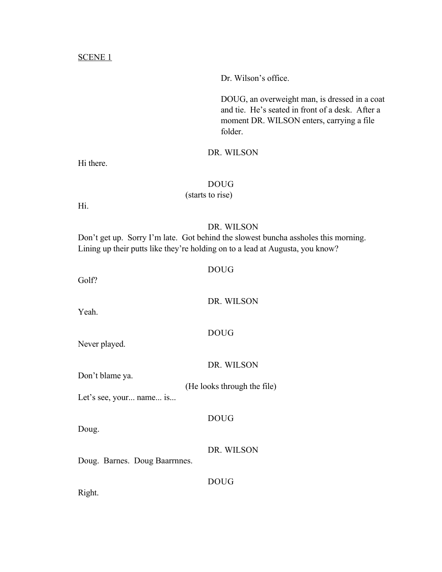#### SCENE 1

Dr. Wilson's office.

DOUG, an overweight man, is dressed in a coat and tie. He's seated in front of a desk. After a moment DR. WILSON enters, carrying a file folder.

#### DR. WILSON

Hi there.

# DOUG

(starts to rise)

Hi.

# DR. WILSON

Don't get up. Sorry I'm late. Got behind the slowest buncha assholes this morning. Lining up their putts like they're holding on to a lead at Augusta, you know?

# DOUG

DOUG

Golf?

Yeah.

Never played.

#### DR. WILSON

DR. WILSON

Don't blame ya.

(He looks through the file)

Let's see, your... name... is...

# DOUG

Doug.

DR. WILSON

Doug. Barnes. Doug Baarrnnes.

DOUG

Right.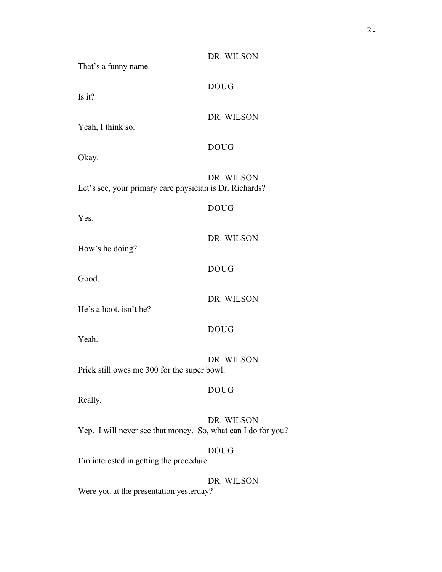| That's a funny name.                                         | DR. WILSON  |
|--------------------------------------------------------------|-------------|
| Is it?                                                       | <b>DOUG</b> |
| Yeah, I think so.                                            | DR. WILSON  |
| Okay.                                                        | <b>DOUG</b> |
| Let's see, your primary care physician is Dr. Richards?      | DR. WILSON  |
| Yes.                                                         | <b>DOUG</b> |
| How's he doing?                                              | DR. WILSON  |
| Good.                                                        | <b>DOUG</b> |
| He's a hoot, isn't he?                                       | DR. WILSON  |
| Yeah.                                                        | <b>DOUG</b> |
| Prick still owes me 300 for the super bowl.                  | DR. WILSON  |
| Really.                                                      | <b>DOUG</b> |
| Yep. I will never see that money. So, what can I do for you? | DR. WILSON  |
| I'm interested in getting the procedure.                     | <b>DOUG</b> |
| Were you at the presentation yesterday?                      | DR. WILSON  |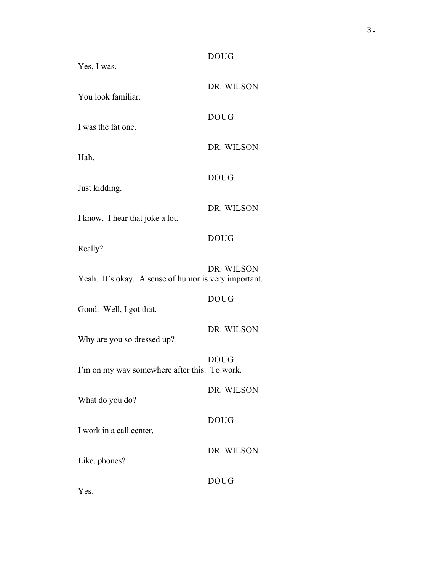| Yes, I was.                                          | <b>DOUG</b> |
|------------------------------------------------------|-------------|
| You look familiar.                                   | DR. WILSON  |
| I was the fat one.                                   | <b>DOUG</b> |
| Hah.                                                 | DR. WILSON  |
|                                                      | <b>DOUG</b> |
| Just kidding.                                        | DR. WILSON  |
| I know. I hear that joke a lot.                      | <b>DOUG</b> |
| Really?                                              | DR. WILSON  |
| Yeah. It's okay. A sense of humor is very important. |             |
| Good. Well, I got that.                              | <b>DOUG</b> |
| Why are you so dressed up?                           | DR. WILSON  |
| I'm on my way somewhere after this. To work.         | <b>DOUG</b> |
| What do you do?                                      | DR. WILSON  |
| I work in a call center.                             | <b>DOUG</b> |
| Like, phones?                                        | DR. WILSON  |
|                                                      | <b>DOUG</b> |

Yes.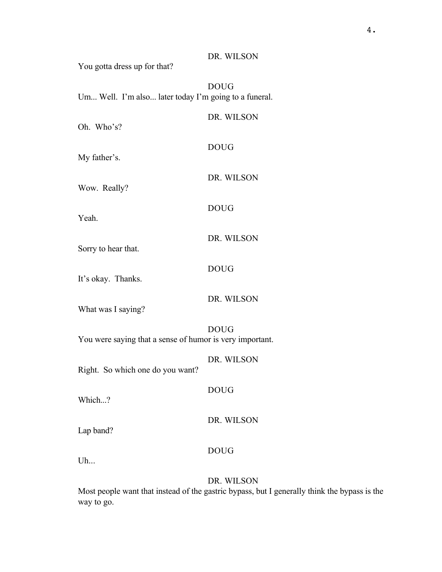You gotta dress up for that? DOUG Um... Well. I'm also... later today I'm going to a funeral. DR. WILSON Oh. Who's? DOUG My father's. DR. WILSON Wow. Really? DOUG Yeah. DR. WILSON Sorry to hear that. DOUG It's okay. Thanks. DR. WILSON What was I saying? DOUG You were saying that a sense of humor is very important. DR. WILSON Right. So which one do you want? DOUG Which...? DR. WILSON Lap band? DOUG Uh... DR. WILSON

Most people want that instead of the gastric bypass, but I generally think the bypass is the way to go.

DR. WILSON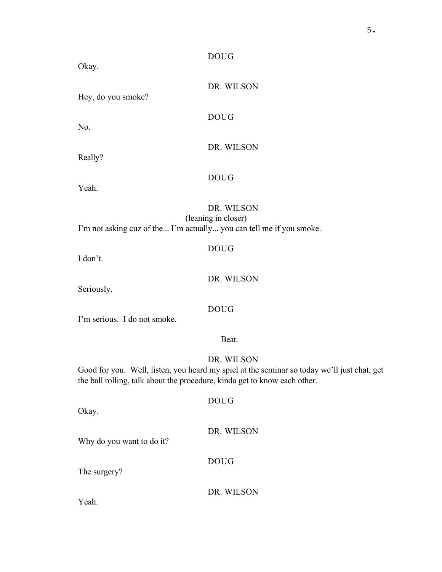# DOUG

DOUG

Okay.

DR. WILSON

DR. WILSON

Hey, do you smoke?

No.

Really?

Yeah.

# DR. WILSON

(leaning in closer)

DOUG

DOUG

I'm not asking cuz of the... I'm actually... you can tell me if you smoke.

I don't.

DR. WILSON

Seriously.

# DOUG

I'm serious. I do not smoke.

#### Beat.

# DR. WILSON

Good for you. Well, listen, you heard my spiel at the seminar so today we'll just chat, get the ball rolling, talk about the procedure, kinda get to know each other.

Okay.

# DR. WILSON

Why do you want to do it?

# DOUG

DOUG

The surgery?

DR. WILSON

Yeah.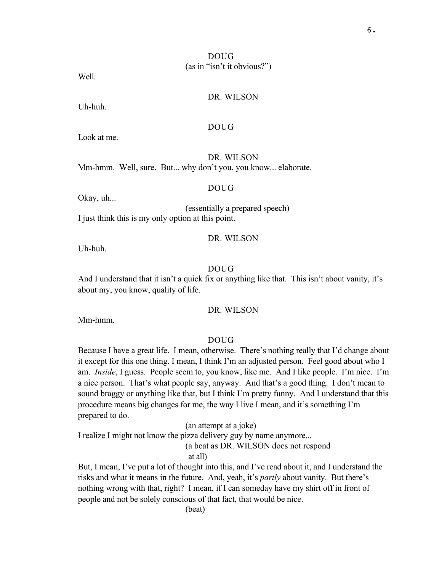# DOUG (as in "isn't it obvious?")

Well.

# DR. WILSON

Uh-huh.

# DOUG

Look at me.

DR. WILSON

Mm-hmm. Well, sure. But... why don't you, you know... elaborate.

DOUG

Okay, uh...

(essentially a prepared speech) I just think this is my only option at this point.

#### DR. WILSON

Uh-huh.

#### DOUG

And I understand that it isn't a quick fix or anything like that. This isn't about vanity, it's about my, you know, quality of life.

#### DR. WILSON

Mm-hmm.

#### DOUG

Because I have a great life. I mean, otherwise. There's nothing really that I'd change about it except for this one thing. I mean, I think I'm an adjusted person. Feel good about who I am. *Inside*, I guess. People seem to, you know, like me. And I like people. I'm nice. I'm a nice person. That's what people say, anyway. And that's a good thing. I don't mean to sound braggy or anything like that, but I think I'm pretty funny. And I understand that this procedure means big changes for me, the way I live I mean, and it's something I'm prepared to do.

(an attempt at a joke)

I realize I might not know the pizza delivery guy by name anymore...

(a beat as DR. WILSON does not respond

at all)

But, I mean, I've put a lot of thought into this, and I've read about it, and I understand the risks and what it means in the future. And, yeah, it's *partly* about vanity. But there's nothing wrong with that, right? I mean, if I can someday have my shirt off in front of people and not be solely conscious of that fact, that would be nice.

(beat)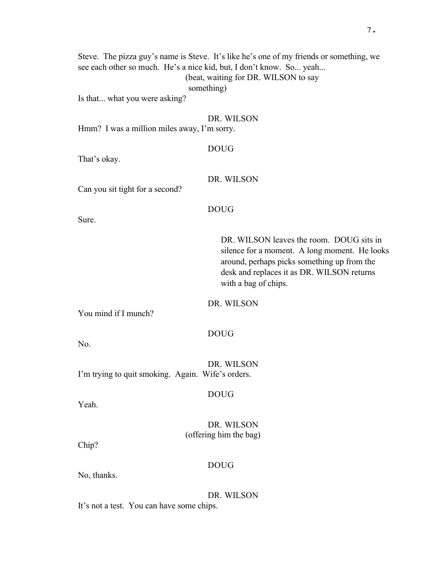Steve. The pizza guy's name is Steve. It's like he's one of my friends or something, we see each other so much. He's a nice kid, but, I don't know. So... yeah... (beat, waiting for DR. WILSON to say something)

Is that... what you were asking?

#### DR. WILSON

Hmm? I was a million miles away, I'm sorry.

#### DOUG

That's okay.

#### DR. WILSON

Can you sit tight for a second?

#### DOUG

Sure.

DR. WILSON leaves the room. DOUG sits in silence for a moment. A long moment. He looks around, perhaps picks something up from the desk and replaces it as DR. WILSON returns with a bag of chips.

#### DR. WILSON

You mind if I munch?

#### DOUG

No.

DR. WILSON I'm trying to quit smoking. Again. Wife's orders.

DOUG

Yeah.

DR. WILSON (offering him the bag)

Chip?

#### DOUG

No, thanks.

DR. WILSON

It's not a test. You can have some chips.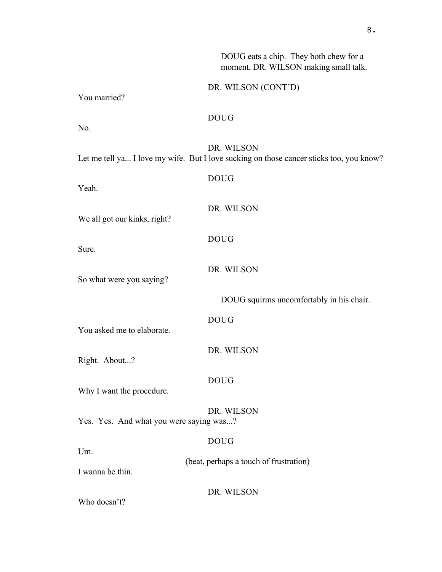|                                         | DOUG eats a chip. They both chew for a<br>moment, DR. WILSON making small talk.                       |
|-----------------------------------------|-------------------------------------------------------------------------------------------------------|
| You married?                            | DR. WILSON (CONT'D)                                                                                   |
| No.                                     | <b>DOUG</b>                                                                                           |
|                                         | DR. WILSON<br>Let me tell ya I love my wife. But I love sucking on those cancer sticks too, you know? |
| Yeah.                                   | <b>DOUG</b>                                                                                           |
| We all got our kinks, right?            | DR. WILSON                                                                                            |
| Sure.                                   | <b>DOUG</b>                                                                                           |
| So what were you saying?                | DR. WILSON                                                                                            |
|                                         | DOUG squirms uncomfortably in his chair.                                                              |
| You asked me to elaborate.              | <b>DOUG</b>                                                                                           |
| Right. About?                           | DR. WILSON                                                                                            |
| Why I want the procedure.               | <b>DOUG</b>                                                                                           |
| Yes. Yes. And what you were saying was? | DR. WILSON                                                                                            |
| Um.                                     | <b>DOUG</b>                                                                                           |
| I wanna be thin.                        | (beat, perhaps a touch of frustration)                                                                |
| Who doesn't?                            | DR. WILSON                                                                                            |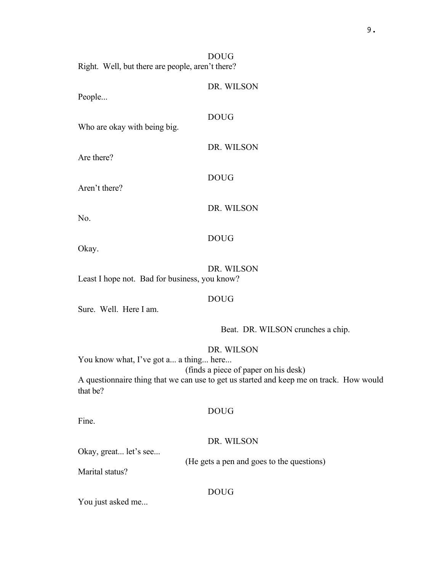DOUG Right. Well, but there are people, aren't there?

People...

# DOUG

DOUG

DR. WILSON

DR. WILSON

Who are okay with being big.

Are there?

Aren't there?

DR. WILSON

No.

# DOUG

Okay.

# DR. WILSON

Least I hope not. Bad for business, you know?

# DOUG

Sure. Well. Here I am.

Beat. DR. WILSON crunches a chip.

# DR. WILSON

You know what, I've got a... a thing... here...

(finds a piece of paper on his desk)

A questionnaire thing that we can use to get us started and keep me on track. How would that be?

# DOUG

Fine.

#### DR. WILSON

(He gets a pen and goes to the questions)

Okay, great... let's see...

Marital status?

DOUG

You just asked me...